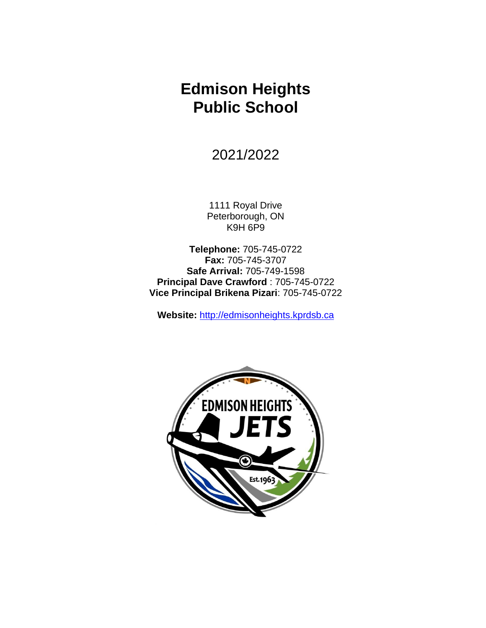# **Edmison Heights Public School**

2021/2022

1111 Royal Drive Peterborough, ON K9H 6P9

**Telephone:** 705-745-0722 **Fax:** 705-745-3707 **Safe Arrival:** 705-749-1598 **Principal Dave Crawford** : 705-745-0722 **Vice Principal Brikena Pizari**: 705-745-0722

**Website:** [http://edmisonheights.kprdsb.ca](http://edmisonheights.kprdsb.ca/)

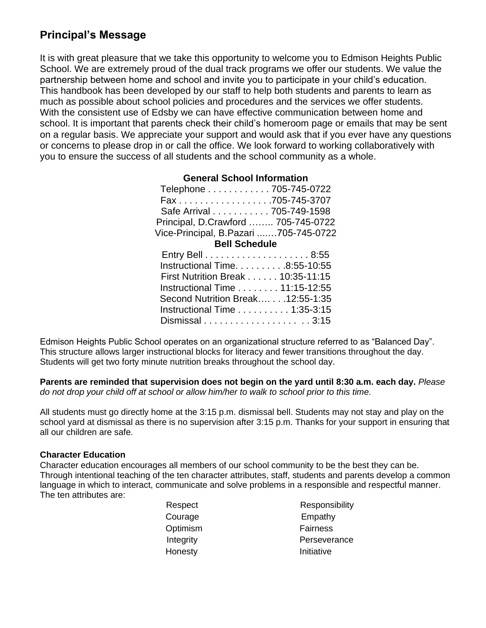## **Principal's Message**

It is with great pleasure that we take this opportunity to welcome you to Edmison Heights Public School. We are extremely proud of the dual track programs we offer our students. We value the partnership between home and school and invite you to participate in your child's education. This handbook has been developed by our staff to help both students and parents to learn as much as possible about school policies and procedures and the services we offer students. With the consistent use of Edsby we can have effective communication between home and school. It is important that parents check their child's homeroom page or emails that may be sent on a regular basis. We appreciate your support and would ask that if you ever have any questions or concerns to please drop in or call the office. We look forward to working collaboratively with you to ensure the success of all students and the school community as a whole.

| <b>General School Information</b>     |  |  |  |
|---------------------------------------|--|--|--|
| Telephone 705-745-0722                |  |  |  |
| Fax 705-745-3707                      |  |  |  |
| Safe Arrival 705-749-1598             |  |  |  |
| Principal, D.Crawford  705-745-0722   |  |  |  |
| Vice-Principal, B.Pazari 705-745-0722 |  |  |  |
| <b>Bell Schedule</b>                  |  |  |  |
|                                       |  |  |  |
| Instructional Time. 8:55-10:55        |  |  |  |
| First Nutrition Break 10:35-11:15     |  |  |  |
| Instructional Time 11:15-12:55        |  |  |  |
| Second Nutrition Break 12:55-1:35     |  |  |  |
| Instructional Time 1:35-3:15          |  |  |  |

Edmison Heights Public School operates on an organizational structure referred to as "Balanced Day". This structure allows larger instructional blocks for literacy and fewer transitions throughout the day. Students will get two forty minute nutrition breaks throughout the school day.

Dismissal . . . . . . . . . . . . . . . . . . . . 3:15

**Parents are reminded that supervision does not begin on the yard until 8:30 a.m. each day.** *Please do not drop your child off at school or allow him/her to walk to school prior to this time.*

All students must go directly home at the 3:15 p.m. dismissal bell. Students may not stay and play on the school yard at dismissal as there is no supervision after 3:15 p.m. Thanks for your support in ensuring that all our children are safe.

## **Character Education**

Character education encourages all members of our school community to be the best they can be. Through intentional teaching of the ten character attributes, staff, students and parents develop a common language in which to interact, communicate and solve problems in a responsible and respectful manner. The ten attributes are:

|  | Respect   | <b>Respons</b> |
|--|-----------|----------------|
|  | Courage   | Empath         |
|  | Optimism  | Fairness       |
|  | Integrity | Perseve        |
|  | Honesty   | Initiative     |
|  |           |                |

Responsibility Empathy Fairness Perseverance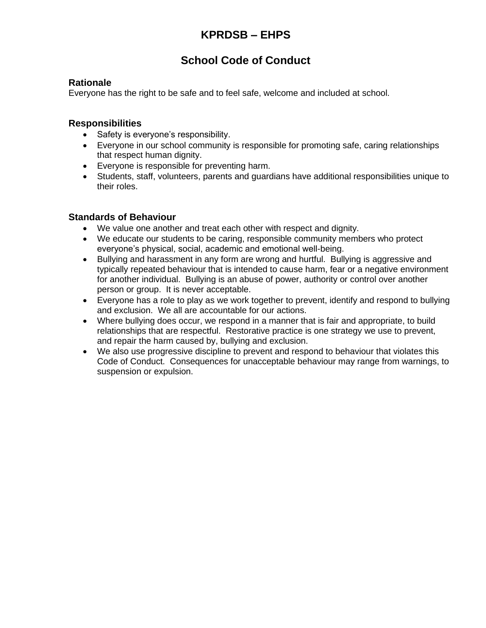# **School Code of Conduct**

## **Rationale**

Everyone has the right to be safe and to feel safe, welcome and included at school.

## **Responsibilities**

- Safety is everyone's responsibility.
- Everyone in our school community is responsible for promoting safe, caring relationships that respect human dignity.
- Everyone is responsible for preventing harm.
- Students, staff, volunteers, parents and guardians have additional responsibilities unique to their roles.

## **Standards of Behaviour**

- We value one another and treat each other with respect and dignity.
- We educate our students to be caring, responsible community members who protect everyone's physical, social, academic and emotional well-being.
- Bullying and harassment in any form are wrong and hurtful. Bullying is aggressive and typically repeated behaviour that is intended to cause harm, fear or a negative environment for another individual. Bullying is an abuse of power, authority or control over another person or group. It is never acceptable.
- Everyone has a role to play as we work together to prevent, identify and respond to bullying and exclusion. We all are accountable for our actions.
- Where bullying does occur, we respond in a manner that is fair and appropriate, to build relationships that are respectful. Restorative practice is one strategy we use to prevent, and repair the harm caused by, bullying and exclusion.
- We also use progressive discipline to prevent and respond to behaviour that violates this Code of Conduct. Consequences for unacceptable behaviour may range from warnings, to suspension or expulsion.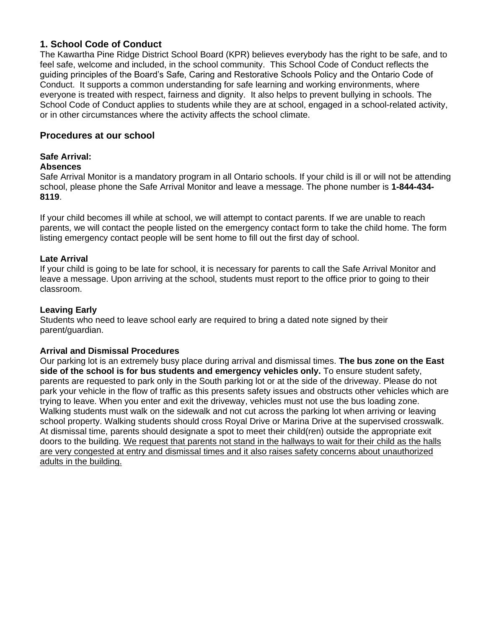## **1. School Code of Conduct**

The Kawartha Pine Ridge District School Board (KPR) believes everybody has the right to be safe, and to feel safe, welcome and included, in the school community. This School Code of Conduct reflects the guiding principles of the Board's Safe, Caring and Restorative Schools Policy and the Ontario Code of Conduct. It supports a common understanding for safe learning and working environments, where everyone is treated with respect, fairness and dignity. It also helps to prevent bullying in schools. The School Code of Conduct applies to students while they are at school, engaged in a school-related activity, or in other circumstances where the activity affects the school climate.

## **Procedures at our school**

## **Safe Arrival:**

#### **Absences**

Safe Arrival Monitor is a mandatory program in all Ontario schools. If your child is ill or will not be attending school, please phone the Safe Arrival Monitor and leave a message. The phone number is **1-844-434- 8119**.

If your child becomes ill while at school, we will attempt to contact parents. If we are unable to reach parents, we will contact the people listed on the emergency contact form to take the child home. The form listing emergency contact people will be sent home to fill out the first day of school.

#### **Late Arrival**

If your child is going to be late for school, it is necessary for parents to call the Safe Arrival Monitor and leave a message. Upon arriving at the school, students must report to the office prior to going to their classroom.

## **Leaving Early**

Students who need to leave school early are required to bring a dated note signed by their parent/guardian.

### **Arrival and Dismissal Procedures**

Our parking lot is an extremely busy place during arrival and dismissal times. **The bus zone on the East side of the school is for bus students and emergency vehicles only.** To ensure student safety, parents are requested to park only in the South parking lot or at the side of the driveway. Please do not park your vehicle in the flow of traffic as this presents safety issues and obstructs other vehicles which are trying to leave. When you enter and exit the driveway, vehicles must not use the bus loading zone. Walking students must walk on the sidewalk and not cut across the parking lot when arriving or leaving school property. Walking students should cross Royal Drive or Marina Drive at the supervised crosswalk. At dismissal time, parents should designate a spot to meet their child(ren) outside the appropriate exit doors to the building. We request that parents not stand in the hallways to wait for their child as the halls are very congested at entry and dismissal times and it also raises safety concerns about unauthorized adults in the building.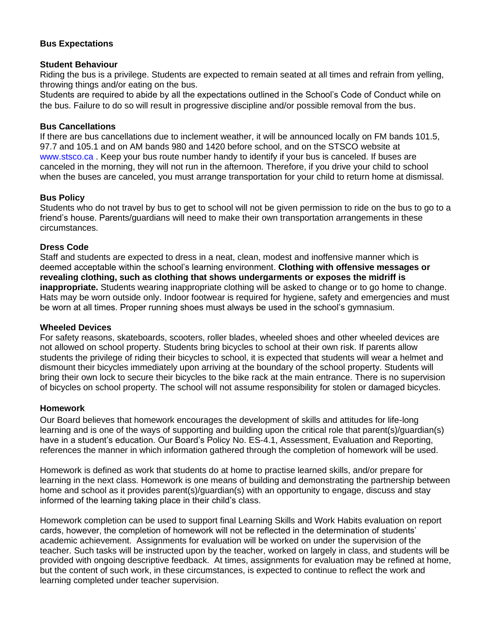### **Bus Expectations**

#### **Student Behaviour**

Riding the bus is a privilege. Students are expected to remain seated at all times and refrain from yelling, throwing things and/or eating on the bus.

Students are required to abide by all the expectations outlined in the School's Code of Conduct while on the bus. Failure to do so will result in progressive discipline and/or possible removal from the bus.

#### **Bus Cancellations**

If there are bus cancellations due to inclement weather, it will be announced locally on FM bands 101.5, 97.7 and 105.1 and on AM bands 980 and 1420 before school, and on the STSCO website at www.stsco.ca. Keep your bus route number handy to identify if your bus is canceled. If buses are canceled in the morning, they will not run in the afternoon. Therefore, if you drive your child to school when the buses are canceled, you must arrange transportation for your child to return home at dismissal.

#### **Bus Policy**

Students who do not travel by bus to get to school will not be given permission to ride on the bus to go to a friend's house. Parents/guardians will need to make their own transportation arrangements in these circumstances.

### **Dress Code**

Staff and students are expected to dress in a neat, clean, modest and inoffensive manner which is deemed acceptable within the school's learning environment. **Clothing with offensive messages or revealing clothing, such as clothing that shows undergarments or exposes the midriff is inappropriate.** Students wearing inappropriate clothing will be asked to change or to go home to change. Hats may be worn outside only. Indoor footwear is required for hygiene, safety and emergencies and must be worn at all times. Proper running shoes must always be used in the school's gymnasium.

#### **Wheeled Devices**

For safety reasons, skateboards, scooters, roller blades, wheeled shoes and other wheeled devices are not allowed on school property. Students bring bicycles to school at their own risk. If parents allow students the privilege of riding their bicycles to school, it is expected that students will wear a helmet and dismount their bicycles immediately upon arriving at the boundary of the school property. Students will bring their own lock to secure their bicycles to the bike rack at the main entrance. There is no supervision of bicycles on school property. The school will not assume responsibility for stolen or damaged bicycles.

#### **Homework**

Our Board believes that homework encourages the development of skills and attitudes for life-long learning and is one of the ways of supporting and building upon the critical role that parent(s)/guardian(s) have in a student's education. Our Board's Policy No. ES-4.1, Assessment, Evaluation and Reporting, references the manner in which information gathered through the completion of homework will be used.

Homework is defined as work that students do at home to practise learned skills, and/or prepare for learning in the next class. Homework is one means of building and demonstrating the partnership between home and school as it provides parent(s)/guardian(s) with an opportunity to engage, discuss and stay informed of the learning taking place in their child's class.

Homework completion can be used to support final Learning Skills and Work Habits evaluation on report cards, however, the completion of homework will not be reflected in the determination of students' academic achievement. Assignments for evaluation will be worked on under the supervision of the teacher. Such tasks will be instructed upon by the teacher, worked on largely in class, and students will be provided with ongoing descriptive feedback. At times, assignments for evaluation may be refined at home, but the content of such work, in these circumstances, is expected to continue to reflect the work and learning completed under teacher supervision.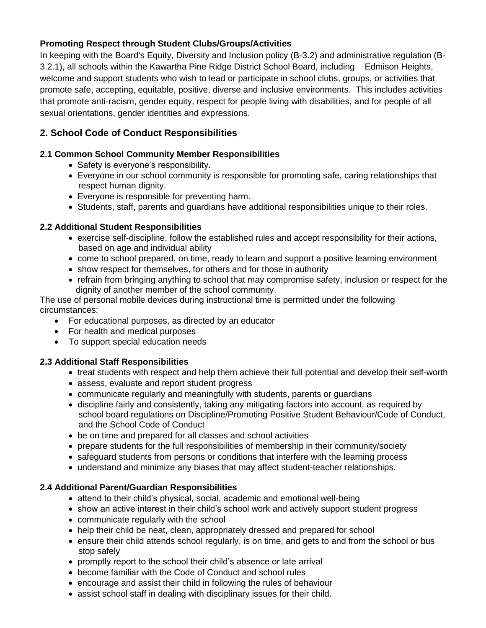## **Promoting Respect through Student Clubs/Groups/Activities**

In keeping with the Board's Equity, Diversity and Inclusion policy (B-3.2) and administrative regulation (B-3.2.1), all schools within the Kawartha Pine Ridge District School Board, including Edmison Heights, welcome and support students who wish to lead or participate in school clubs, groups, or activities that promote safe, accepting, equitable, positive, diverse and inclusive environments. This includes activities that promote anti-racism, gender equity, respect for people living with disabilities, and for people of all sexual orientations, gender identities and expressions.

## **2. School Code of Conduct Responsibilities**

## **2.1 Common School Community Member Responsibilities**

- Safety is everyone's responsibility.
- Everyone in our school community is responsible for promoting safe, caring relationships that respect human dignity.
- Everyone is responsible for preventing harm.
- Students, staff, parents and guardians have additional responsibilities unique to their roles.

## **2.2 Additional Student Responsibilities**

- exercise self-discipline, follow the established rules and accept responsibility for their actions, based on age and individual ability
- come to school prepared, on time, ready to learn and support a positive learning environment
- show respect for themselves, for others and for those in authority
- refrain from bringing anything to school that may compromise safety, inclusion or respect for the dignity of another member of the school community.

The use of personal mobile devices during instructional time is permitted under the following circumstances:

- For educational purposes, as directed by an educator
- For health and medical purposes
- To support special education needs

## **2.3 Additional Staff Responsibilities**

- treat students with respect and help them achieve their full potential and develop their self-worth
- assess, evaluate and report student progress
- communicate regularly and meaningfully with students, parents or guardians
- discipline fairly and consistently, taking any mitigating factors into account, as required by school board regulations on Discipline/Promoting Positive Student Behaviour/Code of Conduct, and the School Code of Conduct
- be on time and prepared for all classes and school activities
- prepare students for the full responsibilities of membership in their community/society
- safeguard students from persons or conditions that interfere with the learning process
- understand and minimize any biases that may affect student-teacher relationships.

### **2.4 Additional Parent/Guardian Responsibilities**

- attend to their child's physical, social, academic and emotional well-being
- show an active interest in their child's school work and actively support student progress
- communicate regularly with the school
- help their child be neat, clean, appropriately dressed and prepared for school
- ensure their child attends school regularly, is on time, and gets to and from the school or bus stop safely
- promptly report to the school their child's absence or late arrival
- become familiar with the Code of Conduct and school rules
- encourage and assist their child in following the rules of behaviour
- assist school staff in dealing with disciplinary issues for their child.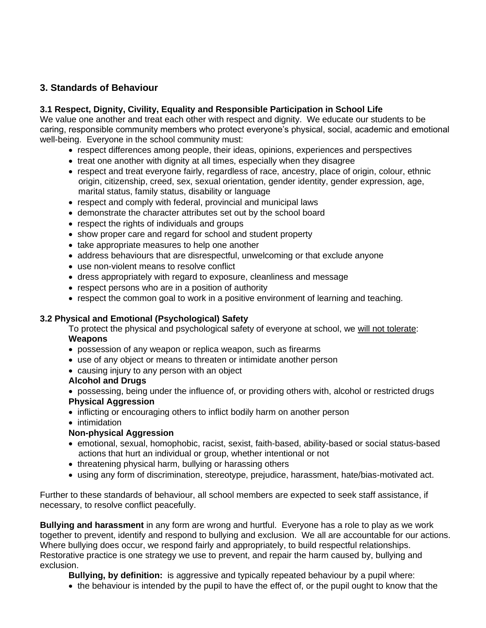## **3. Standards of Behaviour**

## **3.1 Respect, Dignity, Civility, Equality and Responsible Participation in School Life**

We value one another and treat each other with respect and dignity. We educate our students to be caring, responsible community members who protect everyone's physical, social, academic and emotional well-being. Everyone in the school community must:

- respect differences among people, their ideas, opinions, experiences and perspectives
- treat one another with dignity at all times, especially when they disagree
- respect and treat everyone fairly, regardless of race, ancestry, place of origin, colour, ethnic origin, citizenship, creed, sex, sexual orientation, gender identity, gender expression, age, marital status, family status, disability or language
- respect and comply with federal, provincial and municipal laws
- demonstrate the character attributes set out by the school board
- respect the rights of individuals and groups
- show proper care and regard for school and student property
- take appropriate measures to help one another
- address behaviours that are disrespectful, unwelcoming or that exclude anyone
- use non-violent means to resolve conflict
- dress appropriately with regard to exposure, cleanliness and message
- respect persons who are in a position of authority
- respect the common goal to work in a positive environment of learning and teaching.

#### **3.2 Physical and Emotional (Psychological) Safety**

To protect the physical and psychological safety of everyone at school, we will not tolerate: **Weapons**

- possession of any weapon or replica weapon, such as firearms
- use of any object or means to threaten or intimidate another person
- causing injury to any person with an object

#### **Alcohol and Drugs**

- possessing, being under the influence of, or providing others with, alcohol or restricted drugs **Physical Aggression**
- inflicting or encouraging others to inflict bodily harm on another person
- intimidation

### **Non-physical Aggression**

- emotional, sexual, homophobic, racist, sexist, faith-based, ability-based or social status-based actions that hurt an individual or group, whether intentional or not
- threatening physical harm, bullying or harassing others
- using any form of discrimination, stereotype, prejudice, harassment, hate/bias-motivated act.

Further to these standards of behaviour, all school members are expected to seek staff assistance, if necessary, to resolve conflict peacefully.

**Bullying and harassment** in any form are wrong and hurtful. Everyone has a role to play as we work together to prevent, identify and respond to bullying and exclusion. We all are accountable for our actions. Where bullying does occur, we respond fairly and appropriately, to build respectful relationships. Restorative practice is one strategy we use to prevent, and repair the harm caused by, bullying and exclusion.

**Bullying, by definition:** is aggressive and typically repeated behaviour by a pupil where:

• the behaviour is intended by the pupil to have the effect of, or the pupil ought to know that the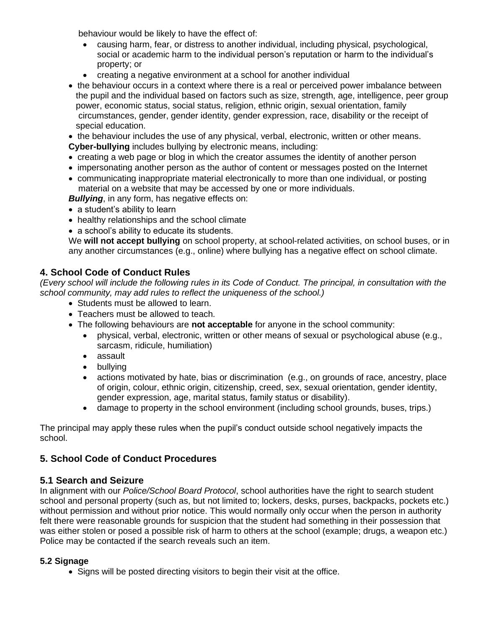behaviour would be likely to have the effect of:

- causing harm, fear, or distress to another individual, including physical, psychological, social or academic harm to the individual person's reputation or harm to the individual's property; or
- creating a negative environment at a school for another individual
- the behaviour occurs in a context where there is a real or perceived power imbalance between the pupil and the individual based on factors such as size, strength, age, intelligence, peer group power, economic status, social status, religion, ethnic origin, sexual orientation, family circumstances, gender, gender identity, gender expression, race, disability or the receipt of special education.
- the behaviour includes the use of any physical, verbal, electronic, written or other means. **Cyber-bullying** includes bullying by electronic means, including:
- creating a web page or blog in which the creator assumes the identity of another person
- impersonating another person as the author of content or messages posted on the Internet
- communicating inappropriate material electronically to more than one individual, or posting material on a website that may be accessed by one or more individuals.

**Bullying**, in any form, has negative effects on:

- a student's ability to learn
- healthy relationships and the school climate
- a school's ability to educate its students.

We **will not accept bullying** on school property, at school-related activities, on school buses, or in any another circumstances (e.g., online) where bullying has a negative effect on school climate.

## **4. School Code of Conduct Rules**

*(Every school will include the following rules in its Code of Conduct. The principal, in consultation with the school community, may add rules to reflect the uniqueness of the school.)*

- Students must be allowed to learn.
- Teachers must be allowed to teach.
- The following behaviours are **not acceptable** for anyone in the school community:
	- physical, verbal, electronic, written or other means of sexual or psychological abuse (e.g., sarcasm, ridicule, humiliation)
	- assault
	- bullying
	- actions motivated by hate, bias or discrimination (e.g., on grounds of race, ancestry, place of origin, colour, ethnic origin, citizenship, creed, sex, sexual orientation, gender identity, gender expression, age, marital status, family status or disability).
	- damage to property in the school environment (including school grounds, buses, trips.)

The principal may apply these rules when the pupil's conduct outside school negatively impacts the school.

## **5. School Code of Conduct Procedures**

## **5.1 Search and Seizure**

In alignment with our *Police/School Board Protocol*, school authorities have the right to search student school and personal property (such as, but not limited to; lockers, desks, purses, backpacks, pockets etc.) without permission and without prior notice. This would normally only occur when the person in authority felt there were reasonable grounds for suspicion that the student had something in their possession that was either stolen or posed a possible risk of harm to others at the school (example; drugs, a weapon etc.) Police may be contacted if the search reveals such an item.

## **5.2 Signage**

• Signs will be posted directing visitors to begin their visit at the office.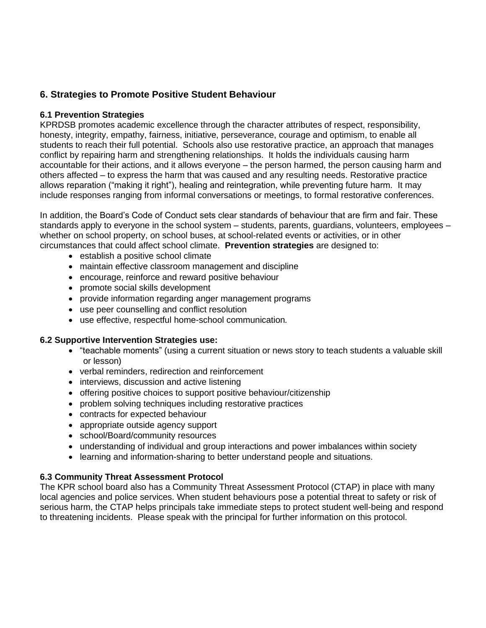## **6. Strategies to Promote Positive Student Behaviour**

### **6.1 Prevention Strategies**

KPRDSB promotes academic excellence through the character attributes of respect, responsibility, honesty, integrity, empathy, fairness, initiative, perseverance, courage and optimism, to enable all students to reach their full potential. Schools also use restorative practice, an approach that manages conflict by repairing harm and strengthening relationships. It holds the individuals causing harm accountable for their actions, and it allows everyone – the person harmed, the person causing harm and others affected – to express the harm that was caused and any resulting needs. Restorative practice allows reparation ("making it right"), healing and reintegration, while preventing future harm. It may include responses ranging from informal conversations or meetings, to formal restorative conferences.

In addition, the Board's Code of Conduct sets clear standards of behaviour that are firm and fair. These standards apply to everyone in the school system – students, parents, guardians, volunteers, employees – whether on school property, on school buses, at school-related events or activities, or in other circumstances that could affect school climate. **Prevention strategies** are designed to:

- establish a positive school climate
- maintain effective classroom management and discipline
- encourage, reinforce and reward positive behaviour
- promote social skills development
- provide information regarding anger management programs
- use peer counselling and conflict resolution
- use effective, respectful home-school communication*.*

#### **6.2 Supportive Intervention Strategies use:**

- "teachable moments" (using a current situation or news story to teach students a valuable skill or lesson)
- verbal reminders, redirection and reinforcement
- interviews, discussion and active listening
- offering positive choices to support positive behaviour/citizenship
- problem solving techniques including restorative practices
- contracts for expected behaviour
- appropriate outside agency support
- school/Board/community resources
- understanding of individual and group interactions and power imbalances within society
- learning and information-sharing to better understand people and situations.

### **6.3 Community Threat Assessment Protocol**

The KPR school board also has a Community Threat Assessment Protocol (CTAP) in place with many local agencies and police services. When student behaviours pose a potential threat to safety or risk of serious harm, the CTAP helps principals take immediate steps to protect student well-being and respond to threatening incidents. Please speak with the principal for further information on this protocol.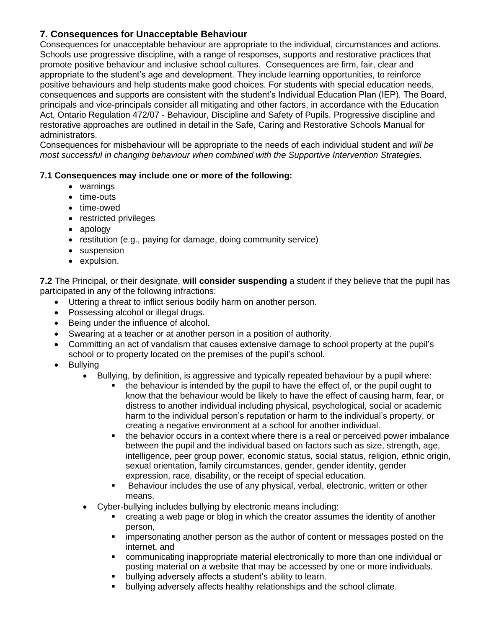## **7. Consequences for Unacceptable Behaviour**

Consequences for unacceptable behaviour are appropriate to the individual, circumstances and actions. Schools use progressive discipline, with a range of responses, supports and restorative practices that promote positive behaviour and inclusive school cultures. Consequences are firm, fair, clear and appropriate to the student's age and development. They include learning opportunities, to reinforce positive behaviours and help students make good choices. For students with special education needs, consequences and supports are consistent with the student's Individual Education Plan (IEP). The Board, principals and vice-principals consider all mitigating and other factors, in accordance with the Education Act, Ontario Regulation 472/07 - Behaviour, Discipline and Safety of Pupils. Progressive discipline and restorative approaches are outlined in detail in the Safe, Caring and Restorative Schools Manual for administrators.

Consequences for misbehaviour will be appropriate to the needs of each individual student and *will be most successful in changing behaviour when combined with the Supportive Intervention Strategies.*

## **7.1 Consequences may include one or more of the following:**

- warnings
- time-outs
- time-owed
- restricted privileges
- apology
- restitution (e.g., paying for damage, doing community service)
- suspension
- expulsion.

**7.2** The Principal, or their designate, **will consider suspending** a student if they believe that the pupil has participated in any of the following infractions:

- Uttering a threat to inflict serious bodily harm on another person.
- Possessing alcohol or illegal drugs.
- Being under the influence of alcohol.
- Swearing at a teacher or at another person in a position of authority.
- Committing an act of vandalism that causes extensive damage to school property at the pupil's school or to property located on the premises of the pupil's school.
- Bullying
	- Bullying, by definition, is aggressive and typically repeated behaviour by a pupil where:
		- the behaviour is intended by the pupil to have the effect of, or the pupil ought to know that the behaviour would be likely to have the effect of causing harm, fear, or distress to another individual including physical, psychological, social or academic harm to the individual person's reputation or harm to the individual's property, or creating a negative environment at a school for another individual.
		- the behavior occurs in a context where there is a real or perceived power imbalance between the pupil and the individual based on factors such as size, strength, age, intelligence, peer group power, economic status, social status, religion, ethnic origin, sexual orientation, family circumstances, gender, gender identity, gender expression, race, disability, or the receipt of special education.
		- Behaviour includes the use of any physical, verbal, electronic, written or other means.
	- Cyber-bullying includes bullying by electronic means including:
		- **•** creating a web page or blog in which the creator assumes the identity of another person,
		- **EXED** impersonating another person as the author of content or messages posted on the internet, and
		- communicating inappropriate material electronically to more than one individual or posting material on a website that may be accessed by one or more individuals.
		- bullying adversely affects a student's ability to learn.
		- bullying adversely affects healthy relationships and the school climate.